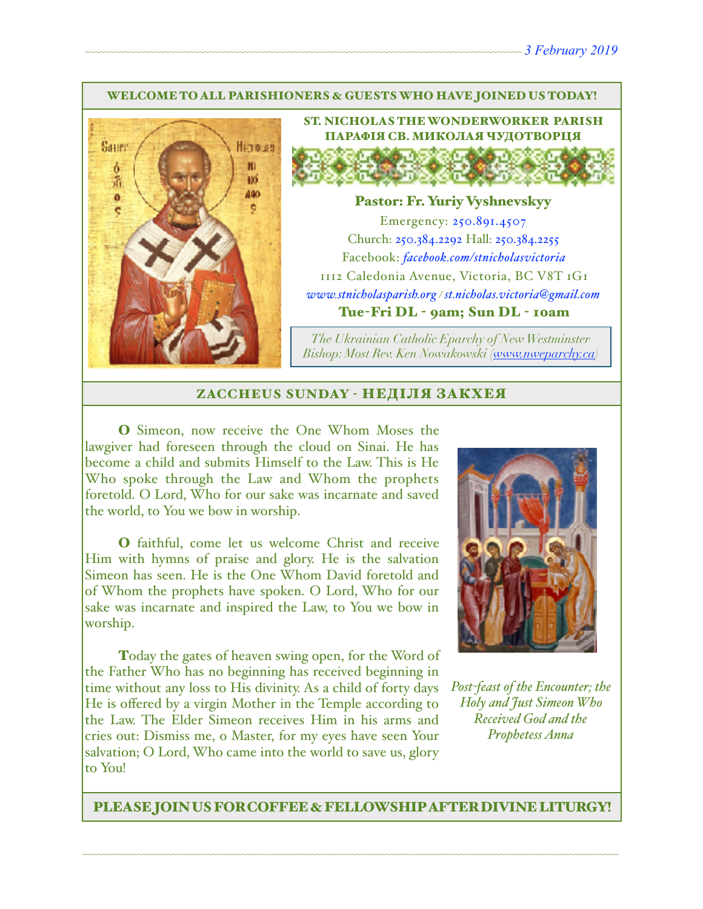#### WELCOME TO ALL PARISHIONERS & GUESTS WHO HAVE JOINED US TODAY!



ST. NICHOLAS THE WONDERWORKER PARISH ПАРАФІЯ СВ. МИКОЛАЯ ЧУДОТВОРЦЯ

#### Pastor: Fr. Yuriy Vyshnevskyy

Emergency: 250.891.4507 Church: 250.384.2292 Hall: 250.384.2255 Facebook: *[facebook.com/stnicholasvictoria](http://facebook.com/stnicholasvictoria)* 1112 Caledonia Avenue, Victoria, BC V8T 1G1 *[www.stnicholasparish.org](http://www.stnicholasparish.org) / [st.nicholas.victoria@gmail.com](mailto:st.nicholas.victoria@gmail.com)* Tue-Fri DL - 9am; Sun DL - 10am

*The Ukrainian Catholic Eparchy of New Westminster Bishop: Most Rev. Ken Nowakowski ([www.nweparchy.ca](http://www.nweparchy.ca))*

#### ZACCHEUS SUNDAY - НЕДІЛЯ ЗАКХЕЯ

O Simeon, now receive the One Whom Moses the lawgiver had foreseen through the cloud on Sinai. He has become a child and submits Himself to the Law. This is He Who spoke through the Law and Whom the prophets foretold. O Lord, Who for our sake was incarnate and saved the world, to You we bow in worship.

O faithful, come let us welcome Christ and receive Him with hymns of praise and glory. He is the salvation Simeon has seen. He is the One Whom David foretold and of Whom the prophets have spoken. O Lord, Who for our sake was incarnate and inspired the Law, to You we bow in worship.

Today the gates of heaven swing open, for the Word of the Father Who has no beginning has received beginning in time without any loss to His divinity. As a child of forty days He is offered by a virgin Mother in the Temple according to the Law. The Elder Simeon receives Him in his arms and cries out: Dismiss me, o Master, for my eyes have seen Your salvation; O Lord, Who came into the world to save us, glory to You!



*Post-feast of the Encounter; the Holy and Just Simeon Who Received God and the Prophetess Anna*

PLEASE JOIN US FOR COFFEE & FELLOWSHIP AFTER DIVINE LITURGY!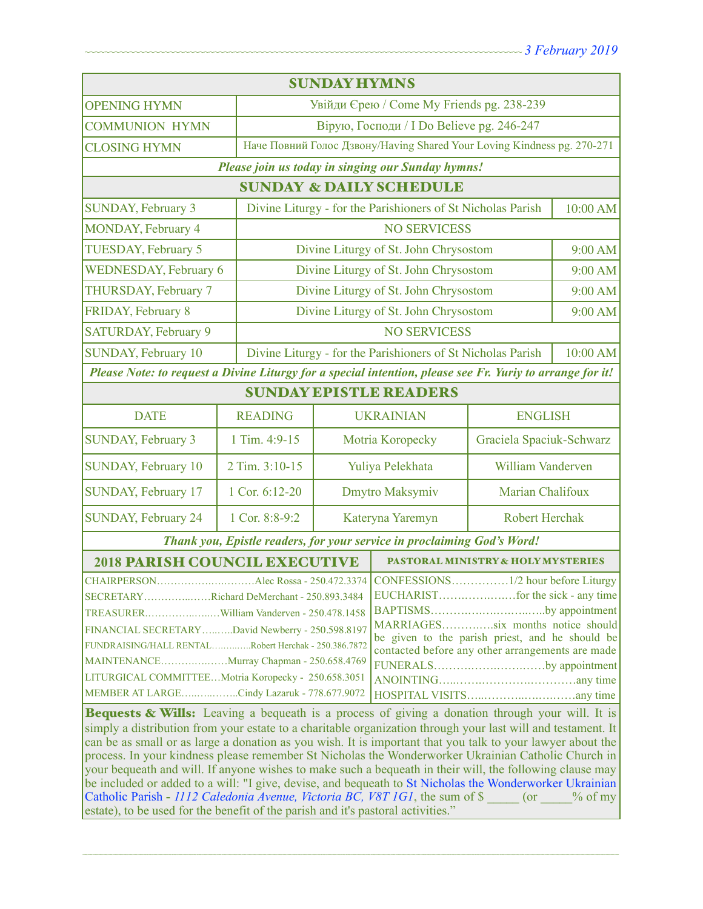| <b>SUNDAY HYMNS</b>                                                                                                                                                                                                                                                                                                                                                                                                                                                                                                                                                                                                                                                                                                                                                                                                                               |                                                             |                                              |                                                                         |                                                             |          |  |
|---------------------------------------------------------------------------------------------------------------------------------------------------------------------------------------------------------------------------------------------------------------------------------------------------------------------------------------------------------------------------------------------------------------------------------------------------------------------------------------------------------------------------------------------------------------------------------------------------------------------------------------------------------------------------------------------------------------------------------------------------------------------------------------------------------------------------------------------------|-------------------------------------------------------------|----------------------------------------------|-------------------------------------------------------------------------|-------------------------------------------------------------|----------|--|
| <b>OPENING HYMN</b>                                                                                                                                                                                                                                                                                                                                                                                                                                                                                                                                                                                                                                                                                                                                                                                                                               |                                                             | Увійди Єрею / Come My Friends pg. 238-239    |                                                                         |                                                             |          |  |
| <b>COMMUNION HYMN</b>                                                                                                                                                                                                                                                                                                                                                                                                                                                                                                                                                                                                                                                                                                                                                                                                                             |                                                             | Вірую, Господи / I Do Believe pg. 246-247    |                                                                         |                                                             |          |  |
| <b>CLOSING HYMN</b>                                                                                                                                                                                                                                                                                                                                                                                                                                                                                                                                                                                                                                                                                                                                                                                                                               |                                                             |                                              | Наче Повний Голос Дзвону/Having Shared Your Loving Kindness pg. 270-271 |                                                             |          |  |
| Please join us today in singing our Sunday hymns!                                                                                                                                                                                                                                                                                                                                                                                                                                                                                                                                                                                                                                                                                                                                                                                                 |                                                             |                                              |                                                                         |                                                             |          |  |
| <b>SUNDAY &amp; DAILY SCHEDULE</b>                                                                                                                                                                                                                                                                                                                                                                                                                                                                                                                                                                                                                                                                                                                                                                                                                |                                                             |                                              |                                                                         |                                                             |          |  |
| <b>SUNDAY, February 3</b>                                                                                                                                                                                                                                                                                                                                                                                                                                                                                                                                                                                                                                                                                                                                                                                                                         |                                                             |                                              |                                                                         | Divine Liturgy - for the Parishioners of St Nicholas Parish |          |  |
| MONDAY, February 4                                                                                                                                                                                                                                                                                                                                                                                                                                                                                                                                                                                                                                                                                                                                                                                                                                |                                                             |                                              | <b>NO SERVICESS</b>                                                     |                                                             |          |  |
| TUESDAY, February 5                                                                                                                                                                                                                                                                                                                                                                                                                                                                                                                                                                                                                                                                                                                                                                                                                               |                                                             | Divine Liturgy of St. John Chrysostom        |                                                                         |                                                             |          |  |
| <b>WEDNESDAY, February 6</b>                                                                                                                                                                                                                                                                                                                                                                                                                                                                                                                                                                                                                                                                                                                                                                                                                      |                                                             | Divine Liturgy of St. John Chrysostom        |                                                                         |                                                             |          |  |
| THURSDAY, February 7                                                                                                                                                                                                                                                                                                                                                                                                                                                                                                                                                                                                                                                                                                                                                                                                                              |                                                             | Divine Liturgy of St. John Chrysostom        |                                                                         |                                                             | 9:00 AM  |  |
| FRIDAY, February 8                                                                                                                                                                                                                                                                                                                                                                                                                                                                                                                                                                                                                                                                                                                                                                                                                                |                                                             | Divine Liturgy of St. John Chrysostom        |                                                                         | 9:00 AM                                                     |          |  |
| <b>SATURDAY, February 9</b>                                                                                                                                                                                                                                                                                                                                                                                                                                                                                                                                                                                                                                                                                                                                                                                                                       |                                                             | <b>NO SERVICESS</b>                          |                                                                         |                                                             |          |  |
| <b>SUNDAY, February 10</b>                                                                                                                                                                                                                                                                                                                                                                                                                                                                                                                                                                                                                                                                                                                                                                                                                        | Divine Liturgy - for the Parishioners of St Nicholas Parish |                                              |                                                                         |                                                             | 10:00 AM |  |
| Please Note: to request a Divine Liturgy for a special intention, please see Fr. Yuriy to arrange for it!                                                                                                                                                                                                                                                                                                                                                                                                                                                                                                                                                                                                                                                                                                                                         |                                                             |                                              |                                                                         |                                                             |          |  |
| <b>SUNDAY EPISTLE READERS</b>                                                                                                                                                                                                                                                                                                                                                                                                                                                                                                                                                                                                                                                                                                                                                                                                                     |                                                             |                                              |                                                                         |                                                             |          |  |
| <b>DATE</b>                                                                                                                                                                                                                                                                                                                                                                                                                                                                                                                                                                                                                                                                                                                                                                                                                                       | <b>READING</b>                                              | <b>UKRAINIAN</b>                             |                                                                         | <b>ENGLISH</b>                                              |          |  |
| <b>SUNDAY, February 3</b>                                                                                                                                                                                                                                                                                                                                                                                                                                                                                                                                                                                                                                                                                                                                                                                                                         | 1 Tim. 4:9-15                                               | Graciela Spaciuk-Schwarz<br>Motria Koropecky |                                                                         |                                                             |          |  |
| <b>SUNDAY, February 10</b>                                                                                                                                                                                                                                                                                                                                                                                                                                                                                                                                                                                                                                                                                                                                                                                                                        | 2 Tim. 3:10-15                                              | Yuliya Pelekhata                             |                                                                         | William Vanderven                                           |          |  |
| SUNDAY, February 17                                                                                                                                                                                                                                                                                                                                                                                                                                                                                                                                                                                                                                                                                                                                                                                                                               | 1 Cor. 6:12-20                                              |                                              | Dmytro Maksymiv                                                         | Marian Chalifoux                                            |          |  |
| <b>SUNDAY, February 24</b>                                                                                                                                                                                                                                                                                                                                                                                                                                                                                                                                                                                                                                                                                                                                                                                                                        | 1 Cor. 8:8-9:2                                              | Kateryna Yaremyn                             |                                                                         | <b>Robert Herchak</b>                                       |          |  |
| Thank you, Epistle readers, for your service in proclaiming God's Word!                                                                                                                                                                                                                                                                                                                                                                                                                                                                                                                                                                                                                                                                                                                                                                           |                                                             |                                              |                                                                         |                                                             |          |  |
| <b>2018 PARISH COUNCIL EXECUTIVE</b>                                                                                                                                                                                                                                                                                                                                                                                                                                                                                                                                                                                                                                                                                                                                                                                                              |                                                             |                                              | PASTORAL MINISTRY & HOLY MYSTERIES                                      |                                                             |          |  |
| SECRETARYRichard DeMerchant - 250.893.3484<br>BAPTISMSby appointment  <br>MARRIAGESsix months notice should<br>FINANCIAL SECRETARY David Newberry - 250.598.8197<br>be given to the parish priest, and he should be<br>FUNDRAISING/HALL RENTALRobert Herchak - 250.386.7872<br>contacted before any other arrangements are made<br>MAINTENANCEMurray Chapman - 250.658.4769<br>FUNERALSby appointment<br>LITURGICAL COMMITTEEMotria Koropecky - 250.658.3051<br>MEMBER AT LARGECindy Lazaruk - 778.677.9072                                                                                                                                                                                                                                                                                                                                       |                                                             |                                              |                                                                         |                                                             |          |  |
| Bequests & Wills: Leaving a bequeath is a process of giving a donation through your will. It is<br>simply a distribution from your estate to a charitable organization through your last will and testament. It<br>can be as small or as large a donation as you wish. It is important that you talk to your lawyer about the<br>process. In your kindness please remember St Nicholas the Wonderworker Ukrainian Catholic Church in<br>your bequeath and will. If anyone wishes to make such a bequeath in their will, the following clause may<br>be included or added to a will: "I give, devise, and bequeath to St Nicholas the Wonderworker Ukrainian<br>Catholic Parish - 1112 Caledonia Avenue, Victoria BC, V8T 1G1, the sum of \$ (or<br>$\%$ of my<br>estate), to be used for the benefit of the parish and it's pastoral activities." |                                                             |                                              |                                                                         |                                                             |          |  |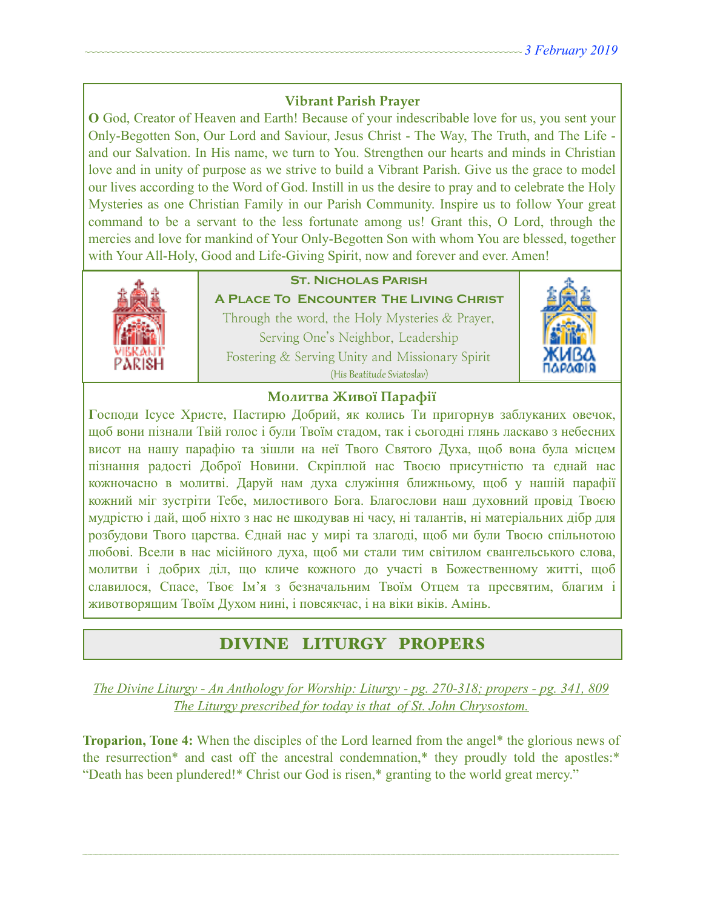## **Vibrant Parish Prayer**

**O** God, Creator of Heaven and Earth! Because of your indescribable love for us, you sent your Only-Begotten Son, Our Lord and Saviour, Jesus Christ - The Way, The Truth, and The Life and our Salvation. In His name, we turn to You. Strengthen our hearts and minds in Christian love and in unity of purpose as we strive to build a Vibrant Parish. Give us the grace to model our lives according to the Word of God. Instill in us the desire to pray and to celebrate the Holy Mysteries as one Christian Family in our Parish Community. Inspire us to follow Your great command to be a servant to the less fortunate among us! Grant this, O Lord, through the mercies and love for mankind of Your Only-Begotten Son with whom You are blessed, together with Your All-Holy, Good and Life-Giving Spirit, now and forever and ever. Amen!



# **St. Nicholas Parish**

**A Place To Encounter The Living Christ** Through the word, the Holy Mysteries & Prayer, Serving One's Neighbor, Leadership Fostering & Serving Unity and Missionary Spirit (His Beatitude Sviatoslav)



### **Молитва Живої Парафії**

**Г**осподи Ісусе Христе, Пастирю Добрий, як колись Ти пригорнув заблуканих овечок, щоб вони пізнали Твій голос і були Твоїм стадом, так і сьогодні глянь ласкаво з небесних висот на нашу парафію та зішли на неї Твого Святого Духа, щоб вона була місцем пізнання радості Доброї Новини. Скріплюй нас Твоєю присутністю та єднай нас кожночасно в молитві. Даруй нам духа служіння ближньому, щоб у нашій парафії кожний міг зустріти Тебе, милостивого Бога. Благослови наш духовний провід Твоєю мудрістю і дай, щоб ніхто з нас не шкодував ні часу, ні талантів, ні матеріальних дібр для розбудови Твого царства. Єднай нас у мирі та злагоді, щоб ми були Твоєю спільнотою любові. Всели в нас місійного духа, щоб ми стали тим світилом євангельського слова, молитви і добрих діл, що кличе кожного до участі в Божественному житті, щоб славилося, Спасе, Твоє Ім'я з безначальним Твоїм Отцем та пресвятим, благим і животворящим Твоїм Духом нині, і повсякчас, і на віки віків. Амінь.

# DIVINE LITURGY PROPERS

*The Divine Liturgy - An Anthology for Worship: Liturgy - pg. 270-318; propers - pg. 341, 809 The Liturgy prescribed for today is that of St. John Chrysostom.* 

**Troparion, Tone 4:** When the disciples of the Lord learned from the angel\* the glorious news of the resurrection\* and cast off the ancestral condemnation,\* they proudly told the apostles:\* "Death has been plundered!\* Christ our God is risen,\* granting to the world great mercy."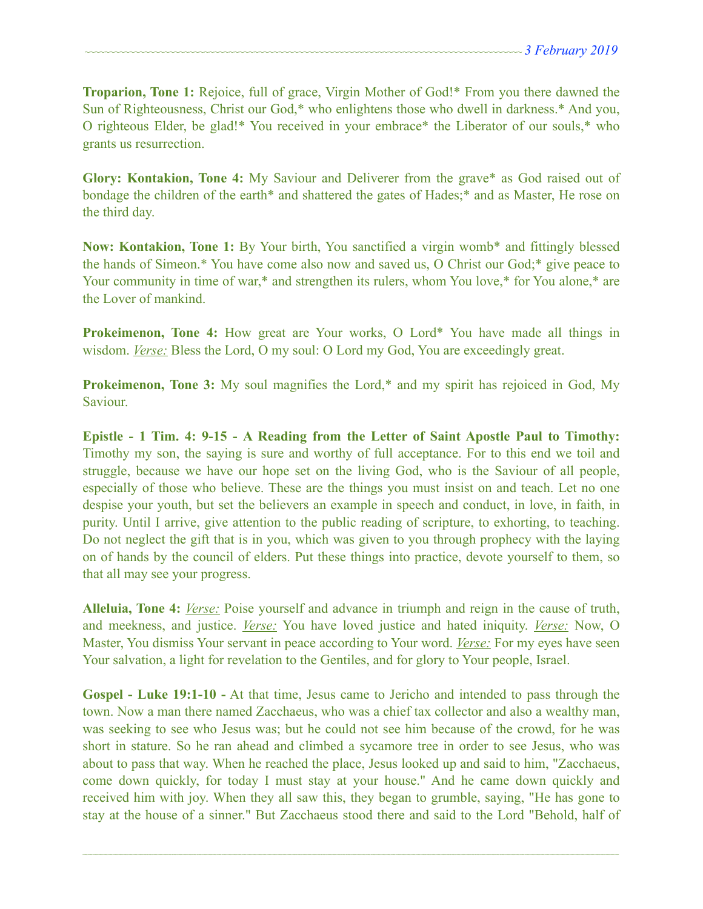**Troparion, Tone 1:** Rejoice, full of grace, Virgin Mother of God!\* From you there dawned the Sun of Righteousness, Christ our God,\* who enlightens those who dwell in darkness.\* And you, O righteous Elder, be glad!\* You received in your embrace\* the Liberator of our souls,\* who grants us resurrection.

**Glory: Kontakion, Tone 4:** My Saviour and Deliverer from the grave\* as God raised out of bondage the children of the earth\* and shattered the gates of Hades;\* and as Master, He rose on the third day.

**Now: Kontakion, Tone 1:** By Your birth, You sanctified a virgin womb\* and fittingly blessed the hands of Simeon.\* You have come also now and saved us, O Christ our God;\* give peace to Your community in time of war,\* and strengthen its rulers, whom You love,\* for You alone,\* are the Lover of mankind.

**Prokeimenon, Tone 4:** How great are Your works, O Lord\* You have made all things in wisdom. *Verse:* Bless the Lord, O my soul: O Lord my God, You are exceedingly great.

**Prokeimenon, Tone 3:** My soul magnifies the Lord,\* and my spirit has rejoiced in God, My Saviour.

**Epistle - 1 Tim. 4: 9-15 - A Reading from the Letter of Saint Apostle Paul to Timothy:** Timothy my son, the saying is sure and worthy of full acceptance. For to this end we toil and struggle, because we have our hope set on the living God, who is the Saviour of all people, especially of those who believe. These are the things you must insist on and teach. Let no one despise your youth, but set the believers an example in speech and conduct, in love, in faith, in purity. Until I arrive, give attention to the public reading of scripture, to exhorting, to teaching. Do not neglect the gift that is in you, which was given to you through prophecy with the laying on of hands by the council of elders. Put these things into practice, devote yourself to them, so that all may see your progress.

**Alleluia, Tone 4:** *Verse:* Poise yourself and advance in triumph and reign in the cause of truth, and meekness, and justice. *Verse:* You have loved justice and hated iniquity. *Verse:* Now, O Master, You dismiss Your servant in peace according to Your word. *Verse:* For my eyes have seen Your salvation, a light for revelation to the Gentiles, and for glory to Your people, Israel.

**Gospel - Luke 19:1-10 -** At that time, Jesus came to Jericho and intended to pass through the town. Now a man there named Zacchaeus, who was a chief tax collector and also a wealthy man, was seeking to see who Jesus was; but he could not see him because of the crowd, for he was short in stature. So he ran ahead and climbed a sycamore tree in order to see Jesus, who was about to pass that way. When he reached the place, Jesus looked up and said to him, "Zacchaeus, come down quickly, for today I must stay at your house." And he came down quickly and received him with joy. When they all saw this, they began to grumble, saying, "He has gone to stay at the house of a sinner." But Zacchaeus stood there and said to the Lord "Behold, half of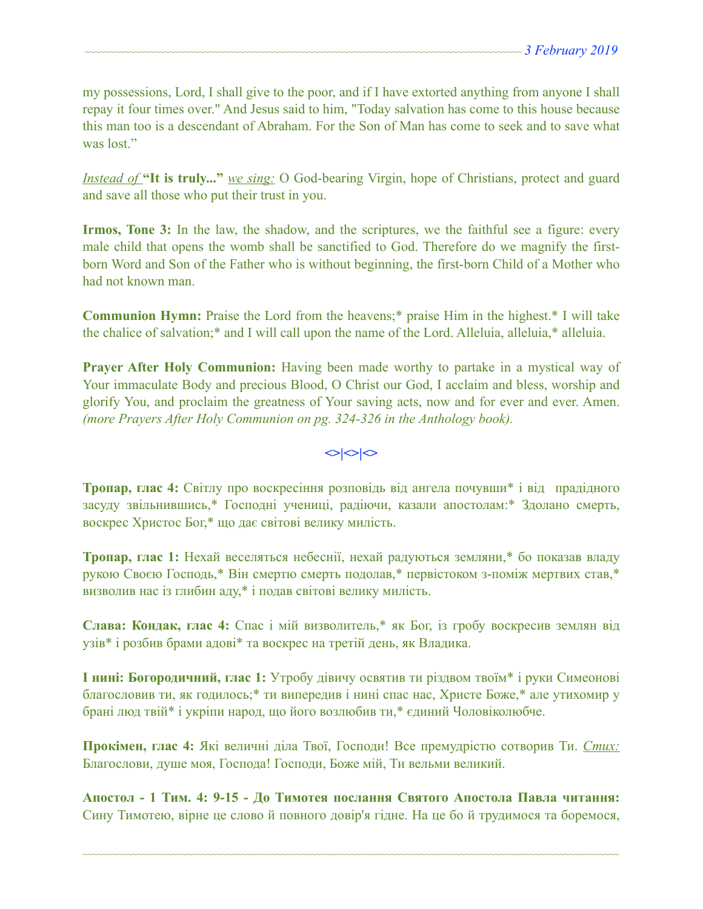my possessions, Lord, I shall give to the poor, and if I have extorted anything from anyone I shall repay it four times over." And Jesus said to him, "Today salvation has come to this house because this man too is a descendant of Abraham. For the Son of Man has come to seek and to save what was lost."

*Instead of* **"It is truly..."** *we sing:* O God-bearing Virgin, hope of Christians, protect and guard and save all those who put their trust in you.

**Irmos, Tone 3:** In the law, the shadow, and the scriptures, we the faithful see a figure: every male child that opens the womb shall be sanctified to God. Therefore do we magnify the firstborn Word and Son of the Father who is without beginning, the first-born Child of a Mother who had not known man.

**Communion Hymn:** Praise the Lord from the heavens;\* praise Him in the highest.\* I will take the chalice of salvation;\* and I will call upon the name of the Lord. Alleluia, alleluia,\* alleluia.

**Prayer After Holy Communion:** Having been made worthy to partake in a mystical way of Your immaculate Body and precious Blood, O Christ our God, I acclaim and bless, worship and glorify You, and proclaim the greatness of Your saving acts, now and for ever and ever. Amen. *(more Prayers After Holy Communion on pg. 324-326 in the Anthology book).* 

## $\left| \diamond \right| \diamond \left| \diamond \right|$

**Тропар, глас 4:** Світлу про воскресіння розповідь від ангела почувши\* і від прадідного засуду звільнившись,\* Господні учениці, радіючи, казали апостолам:\* Здолано смерть, воскрес Христос Бог,\* що дає світові велику милість.

**Тропар, глас 1:** Нехай веселяться небеснії, нехай радуються земляни,\* бо показав владу рукою Своєю Господь,\* Він смертю смерть подолав,\* первістоком з-поміж мертвих став,\* визволив нас із глибин аду,\* і подав світові велику милість.

**Слава: Кондак, глас 4:** Спас і мій визволитель,\* як Бог, із гробу воскресив землян від узів\* і розбив брами адові\* та воскрес на третій день, як Владика.

**І нині: Богородичний, глас 1:** Утробу дівичу освятив ти різдвом твоїм\* і руки Симеонові благословив ти, як годилось;\* ти випередив і нині спас нас, Христе Боже,\* але утихомир у брані люд твій\* і укріпи народ, що його возлюбив ти,\* єдиний Чоловіколюбче.

**Прокімен, глас 4:** Які величні діла Твої, Господи! Все премудрістю сотворив Ти. *Стих:* Благослови, душе моя, Господа! Господи, Боже мій, Ти вельми великий.

**Апостол - 1 Тим. 4: 9-15 - До Тимотея послання Святого Апостола Павла читання:** Сину Тимотею, вірне це слово й повного довір'я гідне. На це бо й трудимося та боремося,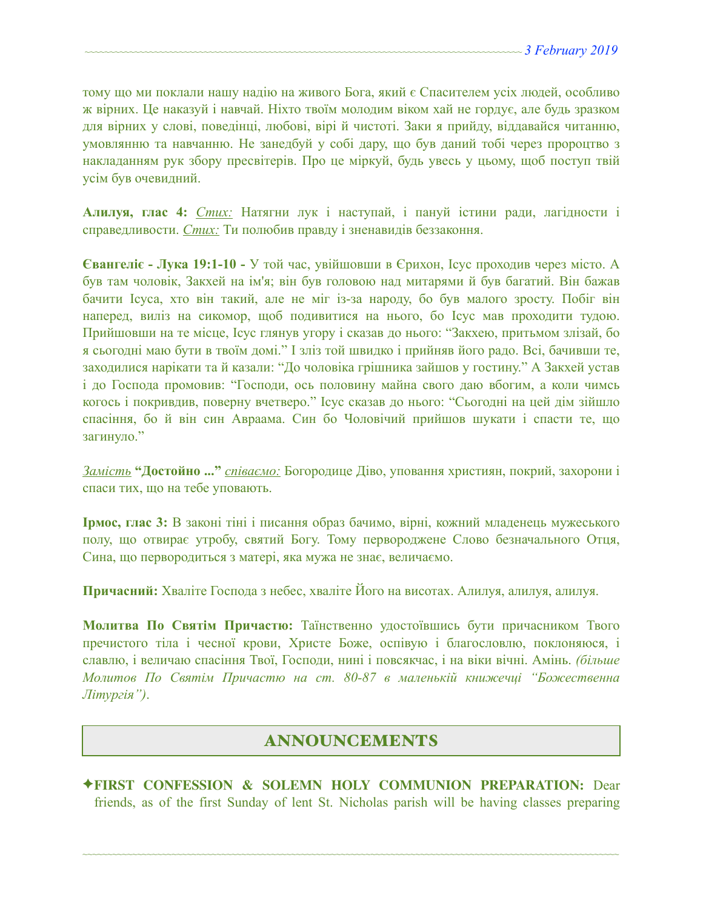тому що ми поклали нашу надію на живого Бога, який є Спасителем усіх людей, особливо ж вірних. Це наказуй і навчай. Ніхто твоїм молодим віком хай не гордує, але будь зразком для вірних у слові, поведінці, любові, вірі й чистоті. Заки я прийду, віддавайся читанню, умовлянню та навчанню. Не занедбуй у собі дару, що був даний тобі через пророцтво з накладанням рук збору пресвітерів. Про це міркуй, будь увесь у цьому, щоб поступ твій усім був очевидний.

**Алилуя, глас 4:** *Стих:* Натягни лук і наступай, і пануй істини ради, лагідности і справедливости. *Стих:* Ти полюбив правду і зненавидів беззаконня.

**Євангеліє - Лука 19:1-10 -** У той час, увійшовши в Єрихон, Ісус проходив через місто. А був там чоловік, Закхей на ім'я; він був головою над митарями й був багатий. Він бажав бачити Ісуса, хто він такий, але не міг із-за народу, бо був малого зросту. Побіг він наперед, виліз на сикомор, щоб подивитися на нього, бо Ісус мав проходити тудою. Прийшовши на те місце, Ісус глянув угору і сказав до нього: "Закхею, притьмом злізай, бо я сьогодні маю бути в твоїм домі." І зліз той швидко і прийняв його радо. Всі, бачивши те, заходилися нарікати та й казали: "До чоловіка грішника зайшов у гостину." А Закхей устав і до Господа промовив: "Господи, ось половину майна свого даю вбогим, а коли чимсь когось і покривдив, поверну вчетверо." Ісус сказав до нього: "Сьогодні на цей дім зійшло спасіння, бо й він син Авраама. Син бо Чоловічий прийшов шукати і спасти те, що загинуло."

*Замість* **"Достойно ..."** *співаємо:* Богородице Діво, уповання християн, покрий, захорони і спаси тих, що на тебе уповають.

**Ірмос, глас 3:** В законі тіні і писання образ бачимо, вірні, кожний младенець мужеського полу, що отвирає утробу, святий Богу. Тому первороджене Слово безначального Отця, Сина, що первородиться з матері, яка мужа не знає, величаємо.

**Причасний:** Хваліте Господа з небес, хваліте Його на висотах. Алилуя, алилуя, алилуя.

**Молитва По Святім Причастю:** Таїнственно удостоївшись бути причасником Твого пречистого тіла і чесної крови, Христе Боже, оспівую і благословлю, поклоняюся, і славлю, і величаю спасіння Твої, Господи, нині і повсякчас, і на віки вічні. Амінь. *(більше Молитов По Святім Причастю на ст. 80-87 в маленькій книжечці "Божественна Літургія")*.

## ANNOUNCEMENTS

✦**FIRST CONFESSION & SOLEMN HOLY COMMUNION PREPARATION:** Dear friends, as of the first Sunday of lent St. Nicholas parish will be having classes preparing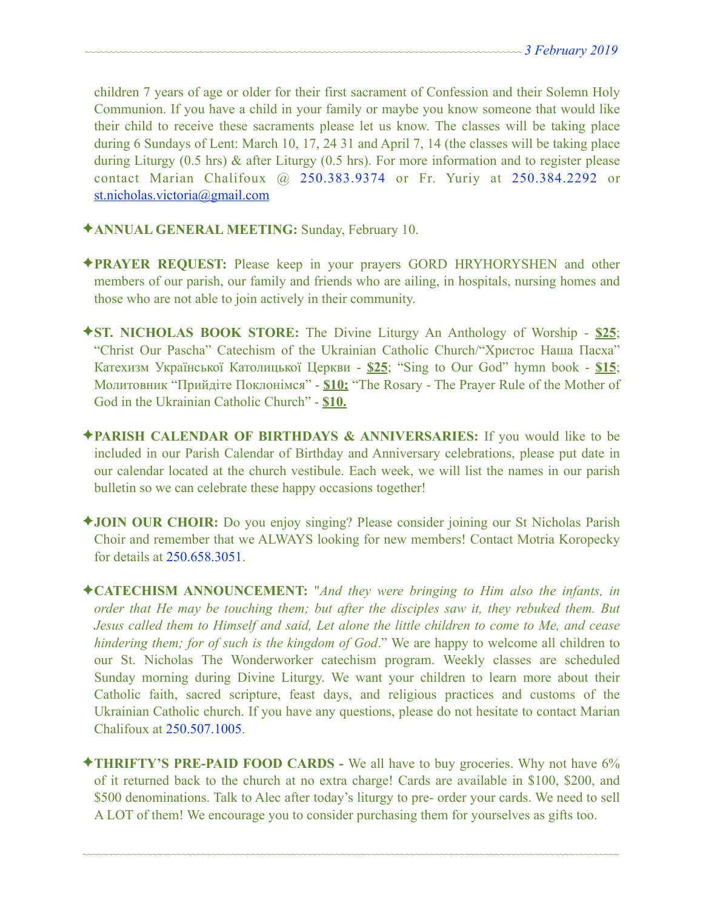children 7 years of age or older for their first sacrament of Confession and their Solemn Holy Communion. If you have a child in your family or maybe you know someone that would like their child to receive these sacraments please let us know. The classes will be taking place during 6 Sundays of Lent: March 10, 17, 24 31 and April 7, 14 (the classes will be taking place during Liturgy (0.5 hrs) & after Liturgy (0.5 hrs). For more information and to register please contact Marian Chalifoux @ 250.383.9374 or Fr. Yuriy at 250.384.2292 or [st.nicholas.victoria@gmail.com](mailto:st.nicholas.victoria@gmail.com)

- ✦**ANNUAL GENERAL MEETING:** Sunday, February 10.
- ✦**PRAYER REQUEST:** Please keep in your prayers GORD HRYHORYSHEN and other members of our parish, our family and friends who are ailing, in hospitals, nursing homes and those who are not able to join actively in their community.
- ✦**ST. NICHOLAS BOOK STORE:** The Divine Liturgy An Anthology of Worship **\$25**; "Christ Our Pascha" Catechism of the Ukrainian Catholic Church/"Христос Наша Пасха" Катехизм Української Католицької Церкви - **\$25**; "Sing to Our God" hymn book - **\$15**; Молитовник "Прийдіте Поклонімся" - **\$10;** "The Rosary - The Prayer Rule of the Mother of God in the Ukrainian Catholic Church" - **\$10.**
- ✦**PARISH CALENDAR OF BIRTHDAYS & ANNIVERSARIES:** If you would like to be included in our Parish Calendar of Birthday and Anniversary celebrations, please put date in our calendar located at the church vestibule. Each week, we will list the names in our parish bulletin so we can celebrate these happy occasions together!
- ✦**JOIN OUR CHOIR:** Do you enjoy singing? Please consider joining our St Nicholas Parish Choir and remember that we ALWAYS looking for new members! Contact Motria Koropecky for details at 250.658.3051.
- ✦**CATECHISM ANNOUNCEMENT:** "*And they were bringing to Him also the infants, in order that He may be touching them; but after the disciples saw it, they rebuked them. But Jesus called them to Himself and said, Let alone the little children to come to Me, and cease hindering them; for of such is the kingdom of God*." We are happy to welcome all children to our St. Nicholas The Wonderworker catechism program. Weekly classes are scheduled Sunday morning during Divine Liturgy. We want your children to learn more about their Catholic faith, sacred scripture, feast days, and religious practices and customs of the Ukrainian Catholic church. If you have any questions, please do not hesitate to contact Marian Chalifoux at 250.507.1005.
- ✦**THRIFTY'S PRE-PAID FOOD CARDS** We all have to buy groceries. Why not have 6% of it returned back to the church at no extra charge! Cards are available in \$100, \$200, and \$500 denominations. Talk to Alec after today's liturgy to pre- order your cards. We need to sell A LOT of them! We encourage you to consider purchasing them for yourselves as gifts too.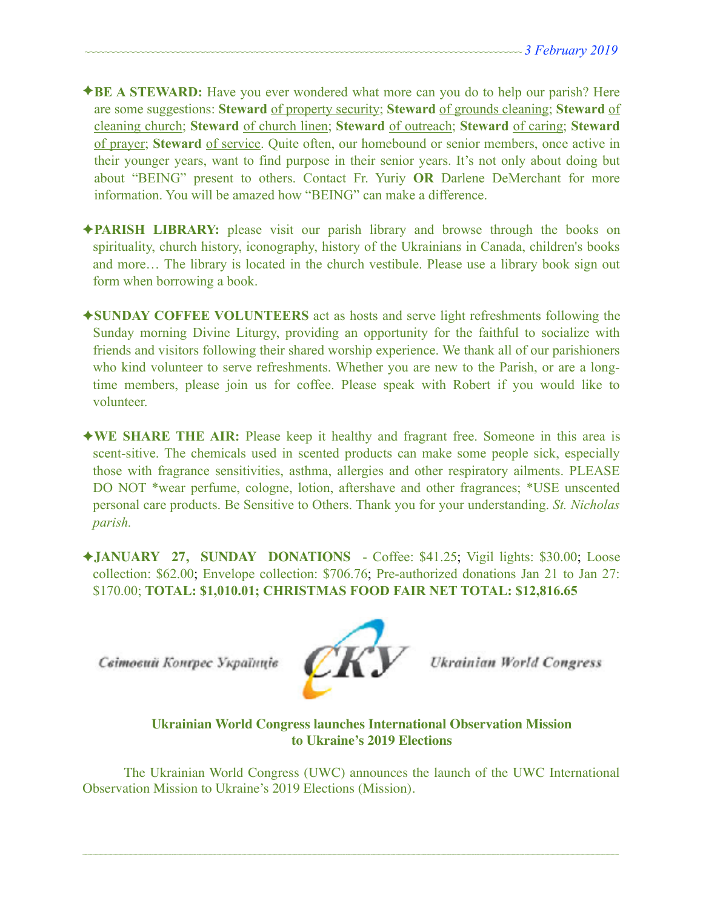- ✦**BE A STEWARD:** Have you ever wondered what more can you do to help our parish? Here are some suggestions: **Steward** of property security; **Steward** of grounds cleaning; **Steward** of cleaning church; **Steward** of church linen; **Steward** of outreach; **Steward** of caring; **Steward** of prayer; **Steward** of service. Quite often, our homebound or senior members, once active in their younger years, want to find purpose in their senior years. It's not only about doing but about "BEING" present to others. Contact Fr. Yuriy **OR** Darlene DeMerchant for more information. You will be amazed how "BEING" can make a difference.
- ✦**PARISH LIBRARY:** please visit our parish library and browse through the books on spirituality, church history, iconography, history of the Ukrainians in Canada, children's books and more… The library is located in the church vestibule. Please use a library book sign out form when borrowing a book.
- ✦**SUNDAY COFFEE VOLUNTEERS** act as hosts and serve light refreshments following the Sunday morning Divine Liturgy, providing an opportunity for the faithful to socialize with friends and visitors following their shared worship experience. We thank all of our parishioners who kind volunteer to serve refreshments. Whether you are new to the Parish, or are a longtime members, please join us for coffee. Please speak with Robert if you would like to volunteer.
- ✦**WE SHARE THE AIR:** Please keep it healthy and fragrant free. Someone in this area is scent-sitive. The chemicals used in scented products can make some people sick, especially those with fragrance sensitivities, asthma, allergies and other respiratory ailments. PLEASE DO NOT \*wear perfume, cologne, lotion, aftershave and other fragrances; \*USE unscented personal care products. Be Sensitive to Others. Thank you for your understanding. *St. Nicholas parish.*
- ✦**JANUARY 27, SUNDAY DONATIONS**  Coffee: \$41.25; Vigil lights: \$30.00; Loose collection: \$62.00; Envelope collection: \$706.76; Pre-authorized donations Jan 21 to Jan 27: \$170.00; **TOTAL: \$1,010.01; CHRISTMAS FOOD FAIR NET TOTAL: \$12,816.65**

Світовий Конгрес Українців



**Ukrainian World Congress** 

**Ukrainian World Congress launches International Observation Mission to Ukraine's 2019 Elections**

The Ukrainian World Congress (UWC) announces the launch of the UWC International Observation Mission to Ukraine's 2019 Elections (Mission).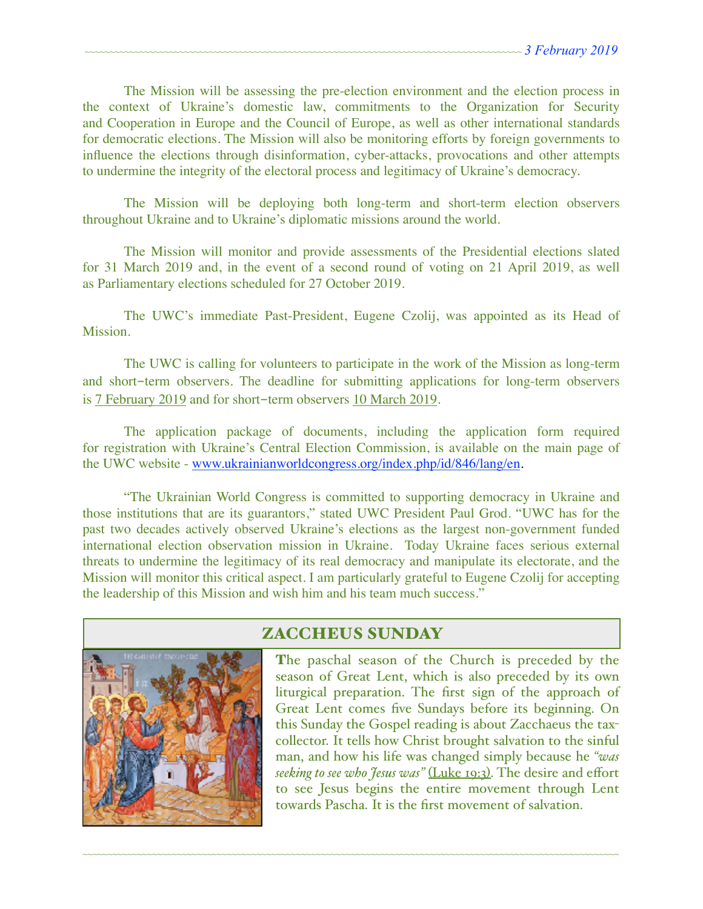The Mission will be assessing the pre-election environment and the election process in the context of Ukraine's domestic law, commitments to the Organization for Security and Cooperation in Europe and the Council of Europe, as well as other international standards for democratic elections. The Mission will also be monitoring efforts by foreign governments to influence the elections through disinformation, cyber-attacks, provocations and other attempts to undermine the integrity of the electoral process and legitimacy of Ukraine's democracy.

The Mission will be deploying both long-term and short-term election observers throughout Ukraine and to Ukraine's diplomatic missions around the world.

The Mission will monitor and provide assessments of the Presidential elections slated for 31 March 2019 and, in the event of a second round of voting on 21 April 2019, as well as Parliamentary elections scheduled for 27 October 2019.

The UWC's immediate Past-President, Eugene Czolij, was appointed as its Head of Mission.

The UWC is calling for volunteers to participate in the work of the Mission as long-term and short-term observers. The deadline for submitting applications for long-term observers is 7 February 2019 and for short-term observers 10 March 2019.

The application package of documents, including the application form required for registration with Ukraine's Central Election Commission, is available on the main page of the UWC website - [www.ukrainianworldcongress.org/index.php/id/846/lang/en](http://www.ukrainianworldcongress.org/index.php/id/846/lang/en).

"The Ukrainian World Congress is committed to supporting democracy in Ukraine and those institutions that are its guarantors," stated UWC President Paul Grod. "UWC has for the past two decades actively observed Ukraine's elections as the largest non-government funded international election observation mission in Ukraine. Today Ukraine faces serious external threats to undermine the legitimacy of its real democracy and manipulate its electorate, and the Mission will monitor this critical aspect. I am particularly grateful to Eugene Czolij for accepting the leadership of this Mission and wish him and his team much success."



# ZACCHEUS SUNDAY

~~~~~~~~~~~~~~~~~~~~~~~~~~~~~~~~~~~~~~~~~~~~~~~~~~~~~~~~~~~~~~~~~~~~~~~~~~~~~~~~~~~~~~~~~~~~~~~~~~~~~~~~~~~~

The paschal season of the Church is preceded by the season of Great Lent, which is also preceded by its own liturgical preparation. The first sign of the approach of Great Lent comes five Sundays before its beginning. On this Sunday the Gospel reading is about Zacchaeus the taxcollector. It tells how Christ brought salvation to the sinful man, and how his life was changed simply because he *"was seeking to see who Jesus was"* (Luke 19:3). The desire and effort to see Jesus begins the entire movement through Lent towards Pascha. It is the first movement of salvation.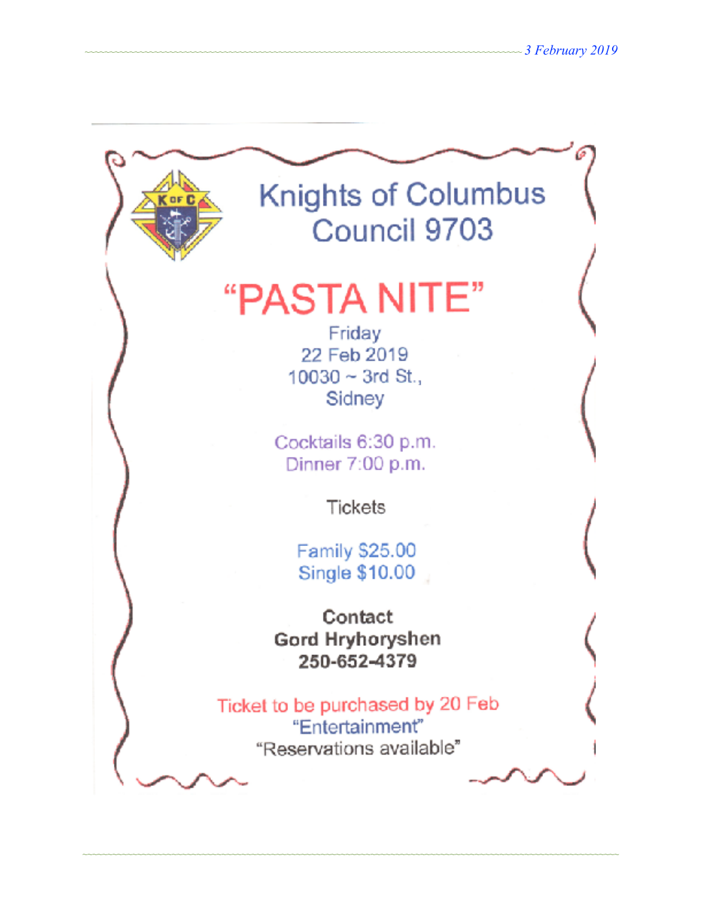

# "PASTA NITE"

Friday 22 Feb 2019  $10030 \sim 3$ rd St., Sidney

Cocktails 6:30 p.m. Dinner 7:00 p.m.

Tickets

Family \$25.00 **Single \$10.00** 

Contact Gord Hryhoryshen 250-652-4379

Ticket to be purchased by 20 Feb "Entertainment" "Reservations available"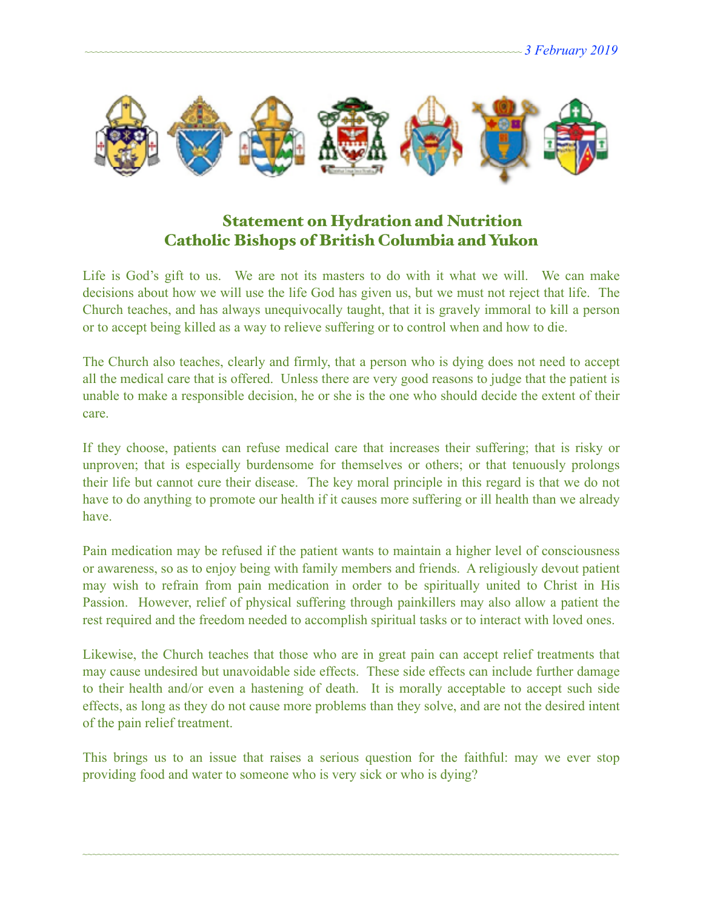

# Statement on Hydration and Nutrition Catholic Bishops of British Columbia and Yukon

Life is God's gift to us. We are not its masters to do with it what we will. We can make decisions about how we will use the life God has given us, but we must not reject that life. The Church teaches, and has always unequivocally taught, that it is gravely immoral to kill a person or to accept being killed as a way to relieve suffering or to control when and how to die.

The Church also teaches, clearly and firmly, that a person who is dying does not need to accept all the medical care that is offered. Unless there are very good reasons to judge that the patient is unable to make a responsible decision, he or she is the one who should decide the extent of their care.

If they choose, patients can refuse medical care that increases their suffering; that is risky or unproven; that is especially burdensome for themselves or others; or that tenuously prolongs their life but cannot cure their disease. The key moral principle in this regard is that we do not have to do anything to promote our health if it causes more suffering or ill health than we already have.

Pain medication may be refused if the patient wants to maintain a higher level of consciousness or awareness, so as to enjoy being with family members and friends. A religiously devout patient may wish to refrain from pain medication in order to be spiritually united to Christ in His Passion. However, relief of physical suffering through painkillers may also allow a patient the rest required and the freedom needed to accomplish spiritual tasks or to interact with loved ones.

Likewise, the Church teaches that those who are in great pain can accept relief treatments that may cause undesired but unavoidable side effects. These side effects can include further damage to their health and/or even a hastening of death. It is morally acceptable to accept such side effects, as long as they do not cause more problems than they solve, and are not the desired intent of the pain relief treatment.

This brings us to an issue that raises a serious question for the faithful: may we ever stop providing food and water to someone who is very sick or who is dying?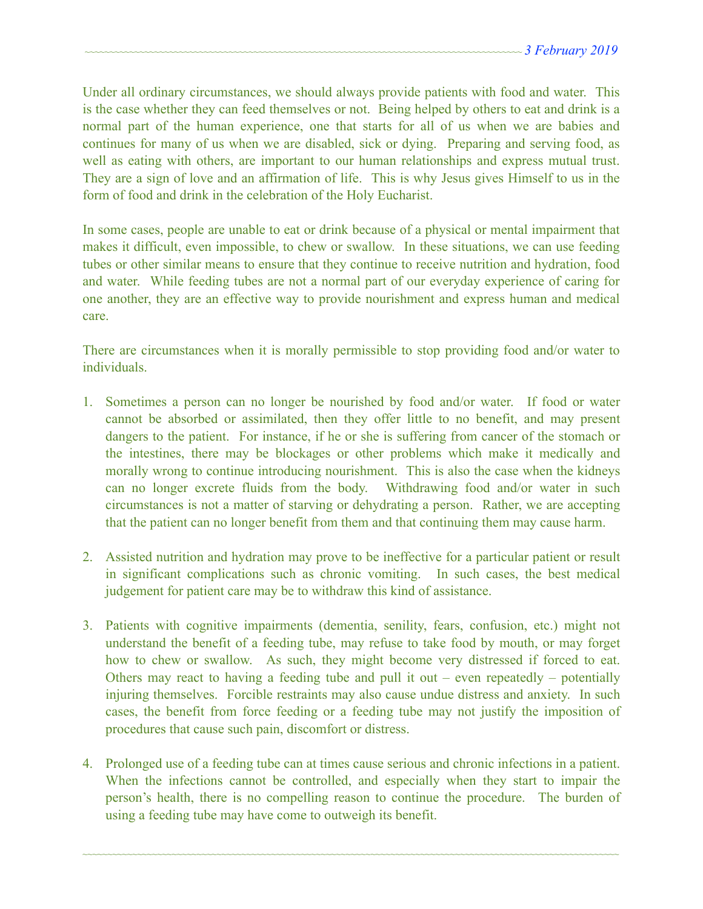Under all ordinary circumstances, we should always provide patients with food and water. This is the case whether they can feed themselves or not. Being helped by others to eat and drink is a normal part of the human experience, one that starts for all of us when we are babies and continues for many of us when we are disabled, sick or dying. Preparing and serving food, as well as eating with others, are important to our human relationships and express mutual trust. They are a sign of love and an affirmation of life. This is why Jesus gives Himself to us in the form of food and drink in the celebration of the Holy Eucharist.

In some cases, people are unable to eat or drink because of a physical or mental impairment that makes it difficult, even impossible, to chew or swallow. In these situations, we can use feeding tubes or other similar means to ensure that they continue to receive nutrition and hydration, food and water. While feeding tubes are not a normal part of our everyday experience of caring for one another, they are an effective way to provide nourishment and express human and medical care.

There are circumstances when it is morally permissible to stop providing food and/or water to individuals.

- 1. Sometimes a person can no longer be nourished by food and/or water. If food or water cannot be absorbed or assimilated, then they offer little to no benefit, and may present dangers to the patient. For instance, if he or she is suffering from cancer of the stomach or the intestines, there may be blockages or other problems which make it medically and morally wrong to continue introducing nourishment. This is also the case when the kidneys can no longer excrete fluids from the body. Withdrawing food and/or water in such circumstances is not a matter of starving or dehydrating a person. Rather, we are accepting that the patient can no longer benefit from them and that continuing them may cause harm.
- 2. Assisted nutrition and hydration may prove to be ineffective for a particular patient or result in significant complications such as chronic vomiting. In such cases, the best medical judgement for patient care may be to withdraw this kind of assistance.
- 3. Patients with cognitive impairments (dementia, senility, fears, confusion, etc.) might not understand the benefit of a feeding tube, may refuse to take food by mouth, or may forget how to chew or swallow. As such, they might become very distressed if forced to eat. Others may react to having a feeding tube and pull it out – even repeatedly – potentially injuring themselves. Forcible restraints may also cause undue distress and anxiety. In such cases, the benefit from force feeding or a feeding tube may not justify the imposition of procedures that cause such pain, discomfort or distress.
- 4. Prolonged use of a feeding tube can at times cause serious and chronic infections in a patient. When the infections cannot be controlled, and especially when they start to impair the person's health, there is no compelling reason to continue the procedure. The burden of using a feeding tube may have come to outweigh its benefit.